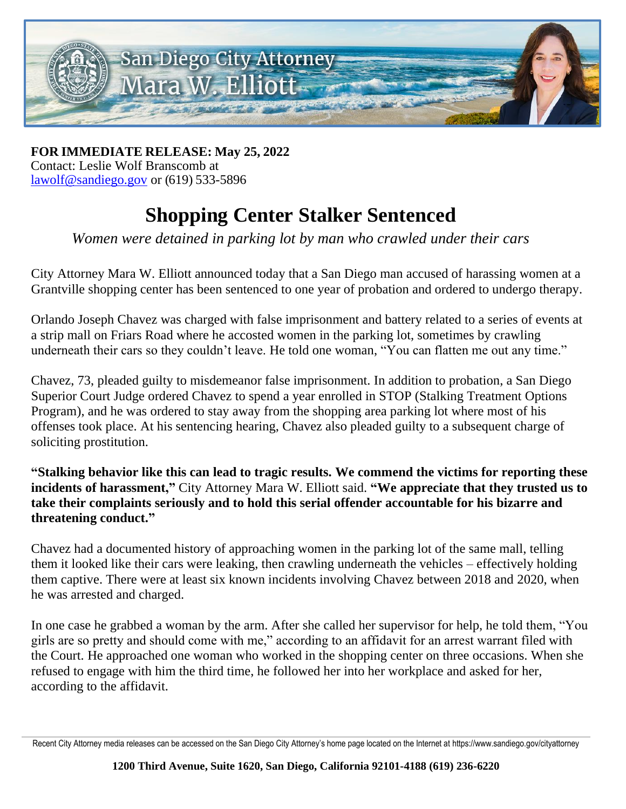

**FOR IMMEDIATE RELEASE: May 25, 2022** Contact: Leslie Wolf Branscomb at [lawolf@sandiego.gov](mailto:lawolf@sandiego.gov) or (619) 533-5896

## **Shopping Center Stalker Sentenced**

*Women were detained in parking lot by man who crawled under their cars*

City Attorney Mara W. Elliott announced today that a San Diego man accused of harassing women at a Grantville shopping center has been sentenced to one year of probation and ordered to undergo therapy.

Orlando Joseph Chavez was charged with false imprisonment and battery related to a series of events at a strip mall on Friars Road where he accosted women in the parking lot, sometimes by crawling underneath their cars so they couldn't leave. He told one woman, "You can flatten me out any time."

Chavez, 73, pleaded guilty to misdemeanor false imprisonment. In addition to probation, a San Diego Superior Court Judge ordered Chavez to spend a year enrolled in STOP (Stalking Treatment Options Program), and he was ordered to stay away from the shopping area parking lot where most of his offenses took place. At his sentencing hearing, Chavez also pleaded guilty to a subsequent charge of soliciting prostitution.

**"Stalking behavior like this can lead to tragic results. We commend the victims for reporting these incidents of harassment,"** City Attorney Mara W. Elliott said. **"We appreciate that they trusted us to take their complaints seriously and to hold this serial offender accountable for his bizarre and threatening conduct."**

Chavez had a documented history of approaching women in the parking lot of the same mall, telling them it looked like their cars were leaking, then crawling underneath the vehicles – effectively holding them captive. There were at least six known incidents involving Chavez between 2018 and 2020, when he was arrested and charged.

In one case he grabbed a woman by the arm. After she called her supervisor for help, he told them, "You girls are so pretty and should come with me," according to an affidavit for an arrest warrant filed with the Court. He approached one woman who worked in the shopping center on three occasions. When she refused to engage with him the third time, he followed her into her workplace and asked for her, according to the affidavit.

Recent City Attorney media releases can be accessed on the San Diego City Attorney's home page located on the Internet at https://www.sandiego.gov/cityattorney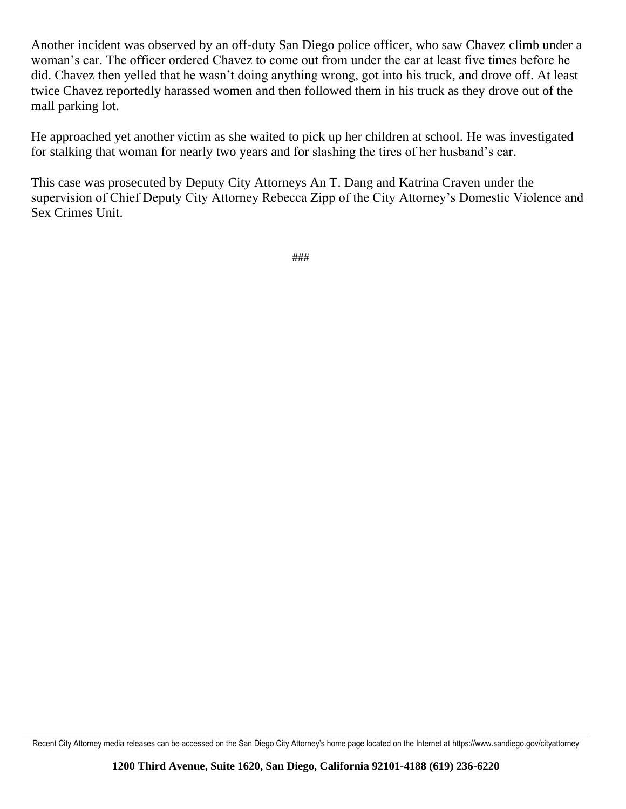Another incident was observed by an off-duty San Diego police officer, who saw Chavez climb under a woman's car. The officer ordered Chavez to come out from under the car at least five times before he did. Chavez then yelled that he wasn't doing anything wrong, got into his truck, and drove off. At least twice Chavez reportedly harassed women and then followed them in his truck as they drove out of the mall parking lot.

He approached yet another victim as she waited to pick up her children at school. He was investigated for stalking that woman for nearly two years and for slashing the tires of her husband's car.

This case was prosecuted by Deputy City Attorneys An T. Dang and Katrina Craven under the supervision of Chief Deputy City Attorney Rebecca Zipp of the City Attorney's Domestic Violence and Sex Crimes Unit.

###